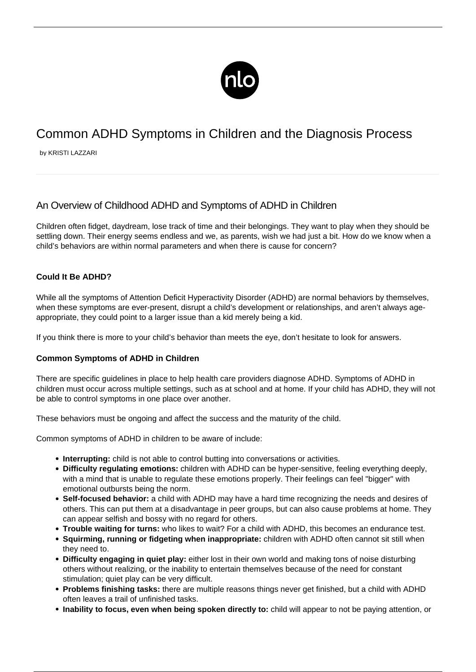

# Common ADHD Symptoms in Children and the Diagnosis Process

by KRISTI LAZZARI

## An Overview of Childhood ADHD and Symptoms of ADHD in Children

Children often fidget, daydream, lose track of time and their belongings. They want to play when they should be settling down. Their energy seems endless and we, as parents, wish we had just a bit. How do we know when a child's behaviors are within normal parameters and when there is cause for concern?

### **Could It Be ADHD?**

While all the symptoms of Attention Deficit Hyperactivity Disorder (ADHD) are normal behaviors by themselves, when these symptoms are ever-present, disrupt a child's development or relationships, and aren't always ageappropriate, they could point to a larger issue than a kid merely being a kid.

If you think there is more to your child's behavior than meets the eye, don't hesitate to look for answers.

#### **Common Symptoms of ADHD in Children**

There are specific guidelines in place to help health care providers diagnose ADHD. Symptoms of ADHD in children must occur across multiple settings, such as at school and at home. If your child has ADHD, they will not be able to control symptoms in one place over another.

These behaviors must be ongoing and affect the success and the maturity of the child.

Common symptoms of ADHD in children to be aware of include:

- **Interrupting:** child is not able to control butting into conversations or activities.
- **Difficulty regulating emotions:** children with ADHD can be hyper-sensitive, feeling everything deeply, with a mind that is unable to regulate these emotions properly. Their feelings can feel "bigger" with emotional outbursts being the norm.
- **Self-focused behavior:** a child with ADHD may have a hard time recognizing the needs and desires of others. This can put them at a disadvantage in peer groups, but can also cause problems at home. They can appear selfish and bossy with no regard for others.
- **Trouble waiting for turns:** who likes to wait? For a child with ADHD, this becomes an endurance test.
- **Squirming, running or fidgeting when inappropriate:** children with ADHD often cannot sit still when they need to.
- **Difficulty engaging in quiet play:** either lost in their own world and making tons of noise disturbing others without realizing, or the inability to entertain themselves because of the need for constant stimulation; quiet play can be very difficult.
- **Problems finishing tasks:** there are multiple reasons things never get finished, but a child with ADHD often leaves a trail of unfinished tasks.
- **Inability to focus, even when being spoken directly to:** child will appear to not be paying attention, or